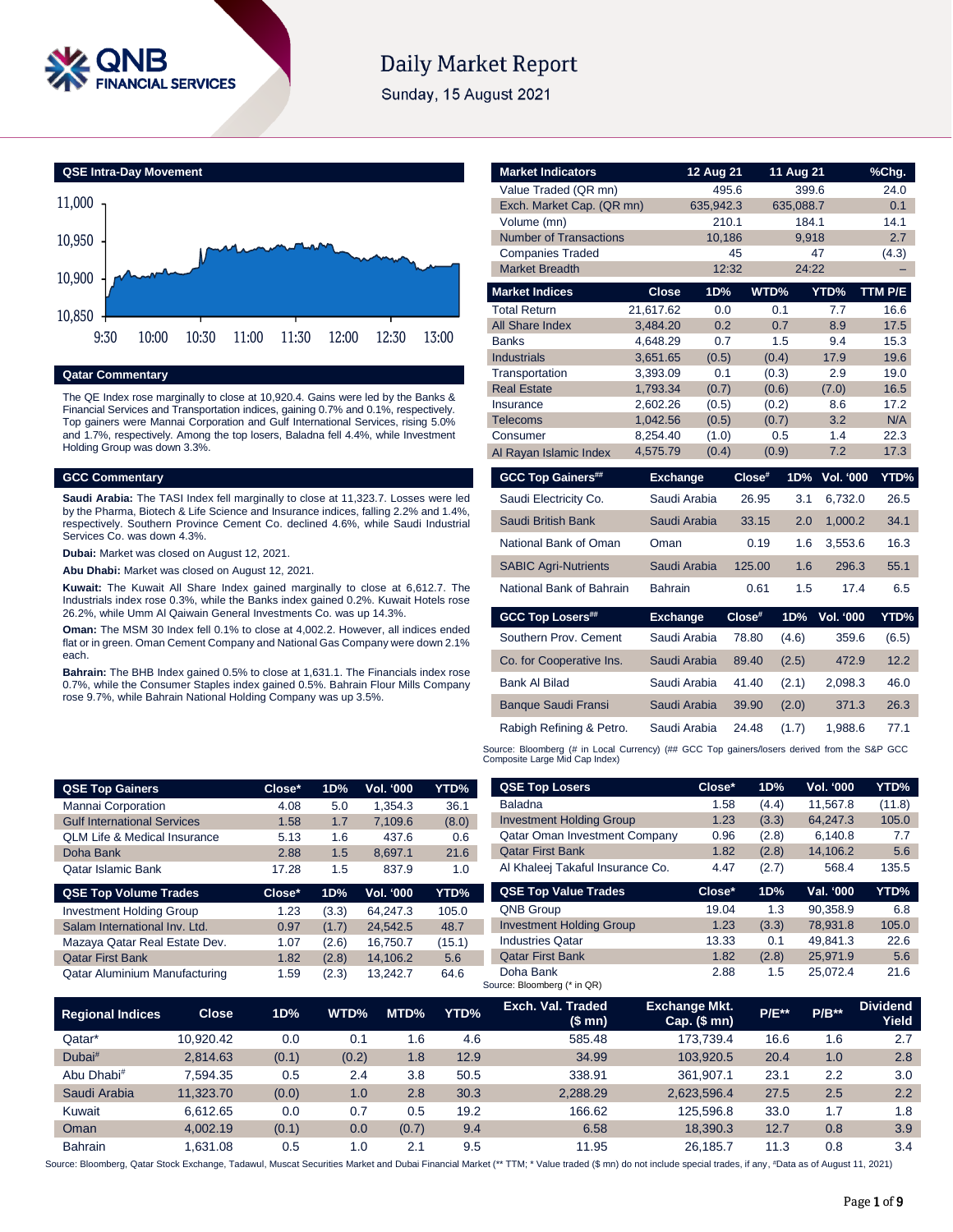

# **Daily Market Report**

Sunday, 15 August 2021



# **Qatar Commentary**

The QE Index rose marginally to close at 10,920.4. Gains were led by the Banks & Financial Services and Transportation indices, gaining 0.7% and 0.1%, respectively. Top gainers were Mannai Corporation and Gulf International Services, rising 5.0% and 1.7%, respectively. Among the top losers, Baladna fell 4.4%, while Investment Holding Group was down 3.3%.

# **GCC Commentary**

**Saudi Arabia:** The TASI Index fell marginally to close at 11,323.7. Losses were led by the Pharma, Biotech & Life Science and Insurance indices, falling 2.2% and 1.4%, respectively. Southern Province Cement Co. declined 4.6%, while Saudi Industrial Services Co. was down 4.3%.

**Dubai:** Market was closed on August 12, 2021.

**Abu Dhabi:** Market was closed on August 12, 2021.

**Kuwait:** The Kuwait All Share Index gained marginally to close at 6,612.7. The Industrials index rose 0.3%, while the Banks index gained 0.2%. Kuwait Hotels rose 26.2%, while Umm Al Qaiwain General Investments Co. was up 14.3%.

**Oman:** The MSM 30 Index fell 0.1% to close at 4,002.2. However, all indices ended flat or in green. Oman Cement Company and National Gas Company were down 2.1% each.

**Bahrain:** The BHB Index gained 0.5% to close at 1,631.1. The Financials index rose 0.7%, while the Consumer Staples index gained 0.5%. Bahrain Flour Mills Company rose 9.7%, while Bahrain National Holding Company was up 3.5%.

| <b>Market Indicators</b>             |                           | 12 Aug 21    |                        | 11 Aug 21 |                  | %Chg.        |
|--------------------------------------|---------------------------|--------------|------------------------|-----------|------------------|--------------|
| Value Traded (QR mn)                 |                           | 495.6        |                        | 399.6     |                  | 24.0         |
|                                      | Exch. Market Cap. (QR mn) |              | 635,088.7<br>635,942.3 |           |                  | 0.1          |
| Volume (mn)                          |                           | 210.1        |                        | 184.1     |                  | 14.1         |
| <b>Number of Transactions</b>        |                           | 10,186       |                        | 9,918     |                  | 2.7          |
| <b>Companies Traded</b>              |                           | 45           |                        |           | 47               | (4.3)        |
| <b>Market Breadth</b>                |                           | 12:32        |                        | 24:22     |                  |              |
| <b>Market Indices</b>                | <b>Close</b>              | 1D%          | WTD%                   |           | YTD%             | TTM P/E      |
| <b>Total Return</b>                  | 21,617.62                 | 0.0          |                        | 0.1       | 7.7              | 16.6         |
| All Share Index                      | 3,484.20                  | 0.2          |                        | 0.7       | 8.9              | 17.5         |
| <b>Banks</b>                         | 4,648.29                  | 0.7          |                        | 1.5       | 9.4              | 15.3         |
| <b>Industrials</b>                   | 3,651.65                  | (0.5)        | (0.4)                  |           | 17.9             | 19.6         |
| Transportation<br><b>Real Estate</b> | 3,393.09<br>1,793.34      | 0.1<br>(0.7) | (0.3)<br>(0.6)         |           | 2.9<br>(7.0)     | 19.0<br>16.5 |
| Insurance                            | 2,602.26                  | (0.5)        | (0.2)                  |           | 8.6              | 17.2         |
| <b>Telecoms</b>                      | 1,042.56                  | (0.5)        | (0.7)                  |           | 3.2              | N/A          |
| Consumer                             | 8,254.40                  | (1.0)        |                        | 0.5       | 1.4              | 22.3         |
| Al Rayan Islamic Index               | 4,575.79                  | (0.4)        | (0.9)                  |           | 7.2              | 17.3         |
| <b>GCC Top Gainers##</b>             | <b>Exchange</b>           |              | Close#                 | 1D%       | Vol. '000        | YTD%         |
| Saudi Electricity Co.                |                           | Saudi Arabia | 26.95                  | 3.1       | 6,732.0          | 26.5         |
| <b>Saudi British Bank</b>            | Saudi Arabia              |              | 33.15                  | 2.0       | 1,000.2          | 34.1         |
| National Bank of Oman                | Oman                      |              | 0.19                   | 1.6       | 3,553.6          | 16.3         |
| <b>SABIC Agri-Nutrients</b>          |                           | Saudi Arabia | 125.00                 | 1.6       | 296.3            | 55.1         |
| National Bank of Bahrain             | <b>Bahrain</b>            |              | 0.61                   | 1.5       | 17.4             | 6.5          |
| <b>GCC Top Losers##</b>              | <b>Exchange</b>           |              | Close#                 | 1D%       | <b>Vol. '000</b> | YTD%         |
|                                      |                           |              |                        |           |                  |              |
| Southern Prov. Cement                |                           | Saudi Arabia | 78.80                  | (4.6)     | 359.6            | (6.5)        |
| Co. for Cooperative Ins.             |                           | Saudi Arabia | 89.40                  | (2.5)     | 472.9            | 12.2         |
| <b>Bank Al Bilad</b>                 |                           | Saudi Arabia | 41.40                  | (2.1)     | 2,098.3          | 46.0         |
| <b>Banque Saudi Fransi</b>           |                           | Saudi Arabia | 39.90                  | (2.0)     | 371.3            | 26.3         |
| Rabigh Refining & Petro.             |                           | Saudi Arabia | 24.48                  | (1.7)     | 1,988.6          | 77.1         |

| <b>QSE Top Gainers</b>                  | Close* | 1D% | Vol. '000 | YTD% ' |
|-----------------------------------------|--------|-----|-----------|--------|
| Mannai Corporation                      | 4.08   | 5.0 | 1.354.3   | 36.1   |
| <b>Gulf International Services</b>      | 1.58   | 1.7 | 7.109.6   | (8.0)  |
| <b>QLM Life &amp; Medical Insurance</b> | 5.13   | 1.6 | 437.6     | 0.6    |
| Doha Bank                               | 2.88   | 1.5 | 8.697.1   | 21.6   |
| <b>Qatar Islamic Bank</b>               | 17.28  | 1.5 | 837.9     | 1.0    |
|                                         |        |     |           |        |

| <b>QSE Top Volume Trades</b>    | $Close*$ | 1D%   | <b>Vol. '000</b> | YTD%   |
|---------------------------------|----------|-------|------------------|--------|
| <b>Investment Holding Group</b> | 1.23     | (3.3) | 64.247.3         | 105.0  |
| Salam International Inv. Ltd.   | 0.97     | (1.7) | 24.542.5         | 48.7   |
| Mazaya Qatar Real Estate Dev.   | 1.07     | (2.6) | 16.750.7         | (15.1) |
| <b>Qatar First Bank</b>         | 1.82     | (2.8) | 14,106.2         | 5.6    |
| Qatar Aluminium Manufacturing   | 1.59     | (2.3) | 13.242.7         | 64.6   |

| <b>QSE Top Losers</b>                | Close* | 1D%   | <b>Vol. '000</b> | YTD%   |
|--------------------------------------|--------|-------|------------------|--------|
| <b>Baladna</b>                       | 1.58   | (4.4) | 11,567.8         | (11.8) |
| <b>Investment Holding Group</b>      | 1.23   | (3.3) | 64,247.3         | 105.0  |
| <b>Qatar Oman Investment Company</b> | 0.96   | (2.8) | 6,140.8          | 7.7    |
| <b>Qatar First Bank</b>              | 1.82   | (2.8) | 14,106.2         | 5.6    |
| Al Khaleej Takaful Insurance Co.     | 4.47   | (2.7) | 568.4            | 135.5  |
|                                      |        |       |                  |        |
| <b>QSE Top Value Trades</b>          | Close* | 1D%   | Val. '000        | YTD%   |
| <b>QNB Group</b>                     | 19.04  | 1.3   | 90.358.9         | 6.8    |
| <b>Investment Holding Group</b>      | 1.23   | (3.3) | 78,931.8         | 105.0  |
| <b>Industries Qatar</b>              | 13.33  | 0.1   | 49.841.3         | 22.6   |
| <b>Qatar First Bank</b>              | 1.82   | (2.8) | 25,971.9         | 5.6    |

| <b>Regional Indices</b> | <b>Close</b> | 1D%   | WTD%  | MTD%  | YTD% | Exch. Val. Traded<br>(\$mn) | <b>Exchange Mkt.</b><br>Cap. $($$ mn $)$ | <b>P/E**</b> | $P/B**$ | <b>Dividend</b><br>Yield |
|-------------------------|--------------|-------|-------|-------|------|-----------------------------|------------------------------------------|--------------|---------|--------------------------|
| Qatar*                  | 10.920.42    | 0.0   | 0.1   | 1.6   | 4.6  | 585.48                      | 173.739.4                                | 16.6         | 1.6     | 2.7                      |
| Dubai <sup>#</sup>      | 2.814.63     | (0.1) | (0.2) | 1.8   | 12.9 | 34.99                       | 103.920.5                                | 20.4         | 1.0     | 2.8                      |
| Abu Dhabi#              | 7.594.35     | 0.5   | 2.4   | 3.8   | 50.5 | 338.91                      | 361.907.1                                | 23.1         | 2.2     | 3.0                      |
| Saudi Arabia            | 11.323.70    | (0.0) | 1.0   | 2.8   | 30.3 | 2.288.29                    | 2.623.596.4                              | 27.5         | 2.5     | 2.2                      |
| Kuwait                  | 6.612.65     | 0.0   | 0.7   | 0.5   | 19.2 | 166.62                      | 125.596.8                                | 33.0         | 1.7     | 1.8                      |
| Oman                    | 4.002.19     | (0.1) | 0.0   | (0.7) | 9.4  | 6.58                        | 18.390.3                                 | 12.7         | 0.8     | 3.9                      |
| <b>Bahrain</b>          | .631.08      | 0.5   | 1.0   | 2.1   | 9.5  | 11.95                       | 26.185.7                                 | 11.3         | 0.8     | 3.4                      |

Source: Bloomberg (\* in QR)

Source: Bloomberg, Qatar Stock Exchange, Tadawul, Muscat Securities Market and Dubai Financial Market (\*\* TTM; \* Value traded (\$ mn) do not include special trades, if any, #Data as of August 11, 2021)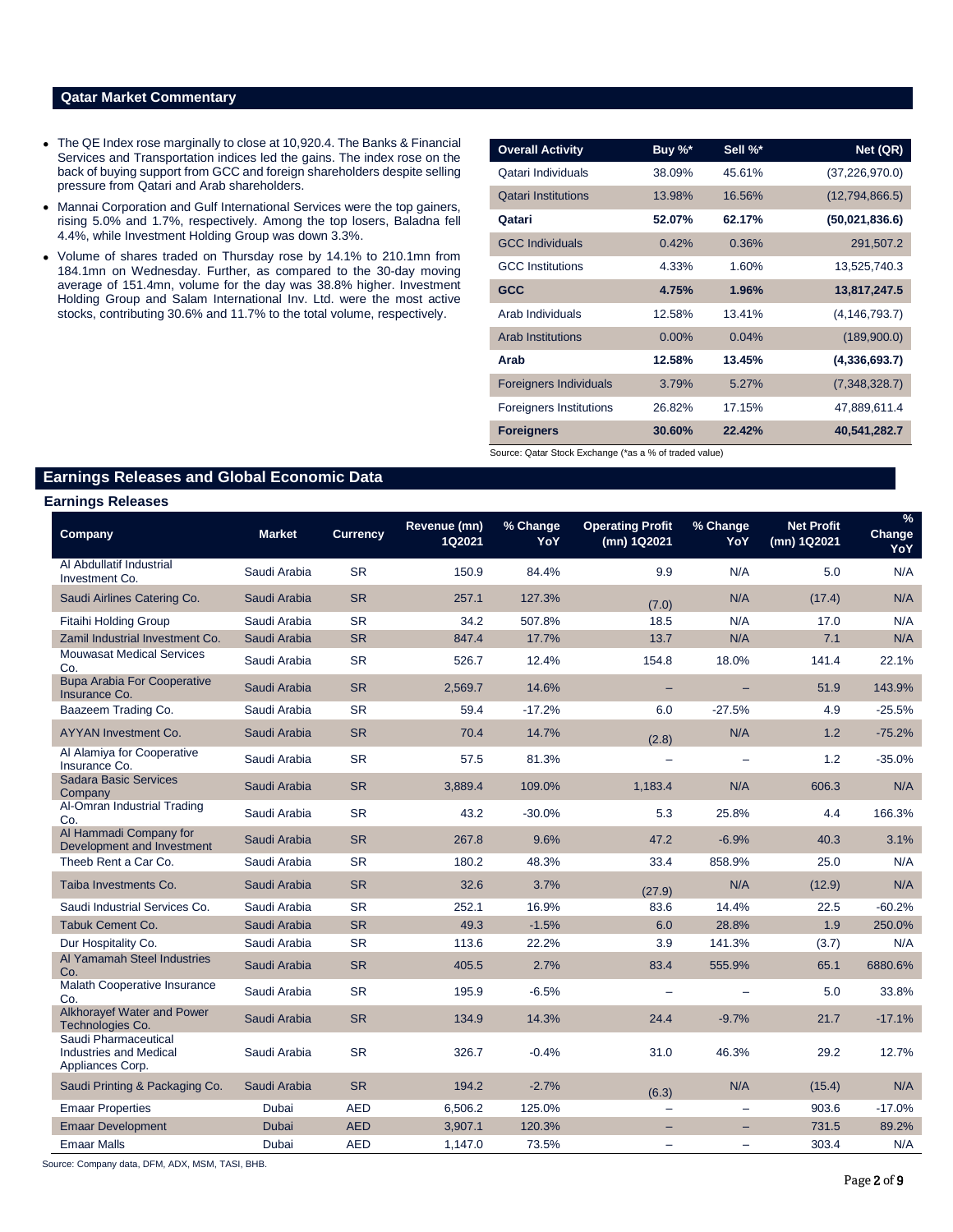# **Qatar Market Commentary**

- The QE Index rose marginally to close at 10,920.4. The Banks & Financial Services and Transportation indices led the gains. The index rose on the back of buying support from GCC and foreign shareholders despite selling pressure from Qatari and Arab shareholders.
- Mannai Corporation and Gulf International Services were the top gainers, rising 5.0% and 1.7%, respectively. Among the top losers, Baladna fell 4.4%, while Investment Holding Group was down 3.3%.
- Volume of shares traded on Thursday rose by 14.1% to 210.1mn from 184.1mn on Wednesday. Further, as compared to the 30-day moving average of 151.4mn, volume for the day was 38.8% higher. Investment Holding Group and Salam International Inv. Ltd. were the most active stocks, contributing 30.6% and 11.7% to the total volume, respectively.

| <b>Overall Activity</b>        | Buy %*   | Sell %* | Net (QR)         |
|--------------------------------|----------|---------|------------------|
| Qatari Individuals             | 38.09%   | 45.61%  | (37, 226, 970.0) |
| <b>Qatari Institutions</b>     | 13.98%   | 16.56%  | (12,794,866.5)   |
| Qatari                         | 52.07%   | 62.17%  | (50,021,836.6)   |
| <b>GCC Individuals</b>         | 0.42%    | 0.36%   | 291,507.2        |
| <b>GCC</b> Institutions        | 4.33%    | 1.60%   | 13,525,740.3     |
| <b>GCC</b>                     | 4.75%    | 1.96%   | 13,817,247.5     |
| Arab Individuals               | 12.58%   | 13.41%  | (4, 146, 793.7)  |
| <b>Arab Institutions</b>       | $0.00\%$ | 0.04%   | (189,900.0)      |
| Arab                           | 12.58%   | 13.45%  | (4,336,693.7)    |
| <b>Foreigners Individuals</b>  | 3.79%    | 5.27%   | (7,348,328.7)    |
| <b>Foreigners Institutions</b> | 26.82%   | 17.15%  | 47,889,611.4     |
| <b>Foreigners</b>              | 30.60%   | 22.42%  | 40,541,282.7     |

Source: Qatar Stock Exchange (\*as a % of traded value)

# **Earnings Releases and Global Economic Data**

### **Earnings Releases**

| Company                                                            | <b>Market</b> | <b>Currency</b> | Revenue (mn)<br>1Q2021 | % Change<br>YoY | <b>Operating Profit</b><br>(mn) 1Q2021 | % Change<br>YoY | <b>Net Profit</b><br>(mn) 1Q2021 | %<br>Change<br>YoY |
|--------------------------------------------------------------------|---------------|-----------------|------------------------|-----------------|----------------------------------------|-----------------|----------------------------------|--------------------|
| Al Abdullatif Industrial<br>Investment Co.                         | Saudi Arabia  | <b>SR</b>       | 150.9                  | 84.4%           | 9.9                                    | N/A             | 5.0                              | N/A                |
| Saudi Airlines Catering Co.                                        | Saudi Arabia  | <b>SR</b>       | 257.1                  | 127.3%          | (7.0)                                  | N/A             | (17.4)                           | N/A                |
| <b>Fitaihi Holding Group</b>                                       | Saudi Arabia  | <b>SR</b>       | 34.2                   | 507.8%          | 18.5                                   | N/A             | 17.0                             | N/A                |
| Zamil Industrial Investment Co.                                    | Saudi Arabia  | <b>SR</b>       | 847.4                  | 17.7%           | 13.7                                   | N/A             | 7.1                              | N/A                |
| <b>Mouwasat Medical Services</b><br>Co.                            | Saudi Arabia  | <b>SR</b>       | 526.7                  | 12.4%           | 154.8                                  | 18.0%           | 141.4                            | 22.1%              |
| <b>Bupa Arabia For Cooperative</b><br>Insurance Co.                | Saudi Arabia  | <b>SR</b>       | 2,569.7                | 14.6%           | -                                      |                 | 51.9                             | 143.9%             |
| Baazeem Trading Co.                                                | Saudi Arabia  | <b>SR</b>       | 59.4                   | $-17.2%$        | 6.0                                    | $-27.5%$        | 4.9                              | $-25.5%$           |
| AYYAN Investment Co.                                               | Saudi Arabia  | <b>SR</b>       | 70.4                   | 14.7%           | (2.8)                                  | N/A             | 1.2                              | $-75.2%$           |
| Al Alamiya for Cooperative<br>Insurance Co.                        | Saudi Arabia  | <b>SR</b>       | 57.5                   | 81.3%           | $\overline{\phantom{0}}$               |                 | 1.2                              | $-35.0%$           |
| <b>Sadara Basic Services</b><br>Company                            | Saudi Arabia  | <b>SR</b>       | 3,889.4                | 109.0%          | 1,183.4                                | N/A             | 606.3                            | N/A                |
| Al-Omran Industrial Trading<br>Co.                                 | Saudi Arabia  | <b>SR</b>       | 43.2                   | $-30.0%$        | 5.3                                    | 25.8%           | 4.4                              | 166.3%             |
| Al Hammadi Company for<br>Development and Investment               | Saudi Arabia  | <b>SR</b>       | 267.8                  | 9.6%            | 47.2                                   | $-6.9%$         | 40.3                             | 3.1%               |
| Theeb Rent a Car Co.                                               | Saudi Arabia  | <b>SR</b>       | 180.2                  | 48.3%           | 33.4                                   | 858.9%          | 25.0                             | N/A                |
| Taiba Investments Co.                                              | Saudi Arabia  | <b>SR</b>       | 32.6                   | 3.7%            | (27.9)                                 | N/A             | (12.9)                           | N/A                |
| Saudi Industrial Services Co.                                      | Saudi Arabia  | <b>SR</b>       | 252.1                  | 16.9%           | 83.6                                   | 14.4%           | 22.5                             | $-60.2%$           |
| Tabuk Cement Co.                                                   | Saudi Arabia  | <b>SR</b>       | 49.3                   | $-1.5%$         | 6.0                                    | 28.8%           | 1.9                              | 250.0%             |
| Dur Hospitality Co.                                                | Saudi Arabia  | <b>SR</b>       | 113.6                  | 22.2%           | 3.9                                    | 141.3%          | (3.7)                            | N/A                |
| Al Yamamah Steel Industries<br>Co.                                 | Saudi Arabia  | <b>SR</b>       | 405.5                  | 2.7%            | 83.4                                   | 555.9%          | 65.1                             | 6880.6%            |
| Malath Cooperative Insurance<br>Co.                                | Saudi Arabia  | <b>SR</b>       | 195.9                  | $-6.5%$         | $\overline{\phantom{0}}$               |                 | 5.0                              | 33.8%              |
| Alkhorayef Water and Power<br>Technologies Co.                     | Saudi Arabia  | <b>SR</b>       | 134.9                  | 14.3%           | 24.4                                   | $-9.7%$         | 21.7                             | $-17.1%$           |
| Saudi Pharmaceutical<br>Industries and Medical<br>Appliances Corp. | Saudi Arabia  | <b>SR</b>       | 326.7                  | $-0.4%$         | 31.0                                   | 46.3%           | 29.2                             | 12.7%              |
| Saudi Printing & Packaging Co.                                     | Saudi Arabia  | <b>SR</b>       | 194.2                  | $-2.7%$         | (6.3)                                  | N/A             | (15.4)                           | N/A                |
| <b>Emaar Properties</b>                                            | Dubai         | <b>AED</b>      | 6,506.2                | 125.0%          | $\equiv$                               |                 | 903.6                            | $-17.0%$           |
| <b>Emaar Development</b>                                           | <b>Dubai</b>  | <b>AED</b>      | 3.907.1                | 120.3%          | ÷                                      |                 | 731.5                            | 89.2%              |
| <b>Emaar Malls</b>                                                 | Dubai         | <b>AED</b>      | 1,147.0                | 73.5%           | $\equiv$                               |                 | 303.4                            | N/A                |

Source: Company data, DFM, ADX, MSM, TASI, BHB.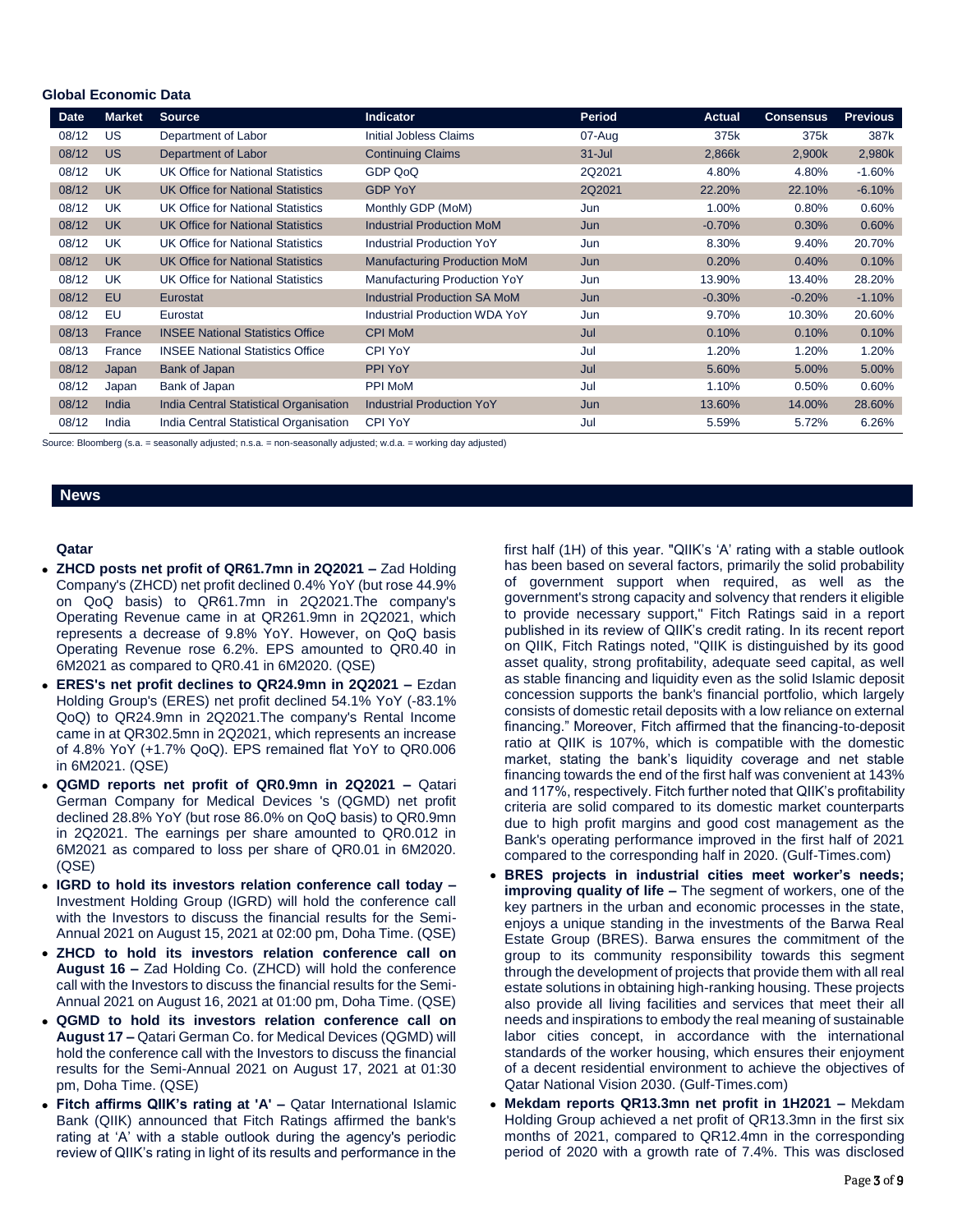# **Global Economic Data**

| <b>Date</b> | Market    | <b>Source</b>                            | Indicator                            | <b>Period</b> | <b>Actual</b> | <b>Consensus</b> | <b>Previous</b> |
|-------------|-----------|------------------------------------------|--------------------------------------|---------------|---------------|------------------|-----------------|
| 08/12       | US        | Department of Labor                      | <b>Initial Jobless Claims</b>        | 07-Aug        | 375k          | 375k             | 387k            |
| 08/12       | <b>US</b> | Department of Labor                      | <b>Continuing Claims</b>             | $31 -$ Jul    | 2,866k        | 2,900k           | 2,980k          |
| 08/12       | UK        | UK Office for National Statistics        | GDP QoQ                              | 2Q2021        | 4.80%         | 4.80%            | $-1.60%$        |
| 08/12       | <b>UK</b> | <b>UK Office for National Statistics</b> | <b>GDP YoY</b>                       | 2Q2021        | 22.20%        | 22.10%           | $-6.10%$        |
| 08/12       | UK        | UK Office for National Statistics        | Monthly GDP (MoM)                    | Jun           | 1.00%         | 0.80%            | 0.60%           |
| 08/12       | <b>UK</b> | <b>UK Office for National Statistics</b> | <b>Industrial Production MoM</b>     | Jun           | $-0.70%$      | 0.30%            | 0.60%           |
| 08/12       | UK        | <b>UK Office for National Statistics</b> | <b>Industrial Production YoY</b>     | Jun           | 8.30%         | 9.40%            | 20.70%          |
| 08/12       | <b>UK</b> | <b>UK Office for National Statistics</b> | <b>Manufacturing Production MoM</b>  | Jun           | 0.20%         | 0.40%            | 0.10%           |
| 08/12       | UK        | <b>UK Office for National Statistics</b> | Manufacturing Production YoY         | Jun           | 13.90%        | 13.40%           | 28.20%          |
| 08/12       | EU        | Eurostat                                 | <b>Industrial Production SA MoM</b>  | Jun           | $-0.30%$      | $-0.20%$         | $-1.10%$        |
| 08/12       | EU        | Eurostat                                 | <b>Industrial Production WDA YoY</b> | Jun           | 9.70%         | 10.30%           | 20.60%          |
| 08/13       | France    | <b>INSEE National Statistics Office</b>  | <b>CPI MoM</b>                       | Jul           | 0.10%         | 0.10%            | 0.10%           |
| 08/13       | France    | <b>INSEE National Statistics Office</b>  | CPI YoY                              | Jul           | 1.20%         | 1.20%            | 1.20%           |
| 08/12       | Japan     | <b>Bank of Japan</b>                     | PPI YoY                              | Jul           | 5.60%         | 5.00%            | 5.00%           |
| 08/12       | Japan     | Bank of Japan                            | <b>PPI MoM</b>                       | Jul           | 1.10%         | 0.50%            | 0.60%           |
| 08/12       | India     | India Central Statistical Organisation   | <b>Industrial Production YoY</b>     | Jun           | 13.60%        | 14.00%           | 28.60%          |
| 08/12       | India     | India Central Statistical Organisation   | CPI YoY                              | Jul           | 5.59%         | 5.72%            | 6.26%           |

Source: Bloomberg (s.a. = seasonally adjusted; n.s.a. = non-seasonally adjusted; w.d.a. = working day adjusted)

### **News**

### **Qatar**

- **ZHCD posts net profit of QR61.7mn in 2Q2021 –** Zad Holding Company's (ZHCD) net profit declined 0.4% YoY (but rose 44.9% on QoQ basis) to QR61.7mn in 2Q2021.The company's Operating Revenue came in at QR261.9mn in 2Q2021, which represents a decrease of 9.8% YoY. However, on QoQ basis Operating Revenue rose 6.2%. EPS amounted to QR0.40 in 6M2021 as compared to QR0.41 in 6M2020. (QSE)
- **ERES's net profit declines to QR24.9mn in 2Q2021 –** Ezdan Holding Group's (ERES) net profit declined 54.1% YoY (-83.1% QoQ) to QR24.9mn in 2Q2021.The company's Rental Income came in at QR302.5mn in 2Q2021, which represents an increase of 4.8% YoY (+1.7% QoQ). EPS remained flat YoY to QR0.006 in 6M2021. (QSE)
- **QGMD reports net profit of QR0.9mn in 2Q2021 –** Qatari German Company for Medical Devices 's (QGMD) net profit declined 28.8% YoY (but rose 86.0% on QoQ basis) to QR0.9mn in 2Q2021. The earnings per share amounted to QR0.012 in 6M2021 as compared to loss per share of QR0.01 in 6M2020. (QSE)
- **IGRD to hold its investors relation conference call today –** Investment Holding Group (IGRD) will hold the conference call with the Investors to discuss the financial results for the Semi-Annual 2021 on August 15, 2021 at 02:00 pm, Doha Time. (QSE)
- **ZHCD to hold its investors relation conference call on August 16 –** Zad Holding Co. (ZHCD) will hold the conference call with the Investors to discuss the financial results for the Semi-Annual 2021 on August 16, 2021 at 01:00 pm, Doha Time. (QSE)
- **QGMD to hold its investors relation conference call on August 17 –** Qatari German Co. for Medical Devices (QGMD) will hold the conference call with the Investors to discuss the financial results for the Semi-Annual 2021 on August 17, 2021 at 01:30 pm, Doha Time. (QSE)
- Fitch affirms QIIK's rating at 'A' Qatar International Islamic Bank (QIIK) announced that Fitch Ratings affirmed the bank's rating at 'A' with a stable outlook during the agency's periodic review of QIIK's rating in light of its results and performance in the

first half (1H) of this year. "QIIK's 'A' rating with a stable outlook has been based on several factors, primarily the solid probability of government support when required, as well as the government's strong capacity and solvency that renders it eligible to provide necessary support," Fitch Ratings said in a report published in its review of QIIK's credit rating. In its recent report on QIIK, Fitch Ratings noted, "QIIK is distinguished by its good asset quality, strong profitability, adequate seed capital, as well as stable financing and liquidity even as the solid Islamic deposit concession supports the bank's financial portfolio, which largely consists of domestic retail deposits with a low reliance on external financing." Moreover, Fitch affirmed that the financing-to-deposit ratio at QIIK is 107%, which is compatible with the domestic market, stating the bank's liquidity coverage and net stable financing towards the end of the first half was convenient at 143% and 117%, respectively. Fitch further noted that QIIK's profitability criteria are solid compared to its domestic market counterparts due to high profit margins and good cost management as the Bank's operating performance improved in the first half of 2021 compared to the corresponding half in 2020. (Gulf-Times.com)

- **BRES projects in industrial cities meet worker's needs; improving quality of life –** The segment of workers, one of the key partners in the urban and economic processes in the state, enjoys a unique standing in the investments of the Barwa Real Estate Group (BRES). Barwa ensures the commitment of the group to its community responsibility towards this segment through the development of projects that provide them with all real estate solutions in obtaining high-ranking housing. These projects also provide all living facilities and services that meet their all needs and inspirations to embody the real meaning of sustainable labor cities concept, in accordance with the international standards of the worker housing, which ensures their enjoyment of a decent residential environment to achieve the objectives of Qatar National Vision 2030. (Gulf-Times.com)
- **Mekdam reports QR13.3mn net profit in 1H2021 –** Mekdam Holding Group achieved a net profit of QR13.3mn in the first six months of 2021, compared to QR12.4mn in the corresponding period of 2020 with a growth rate of 7.4%. This was disclosed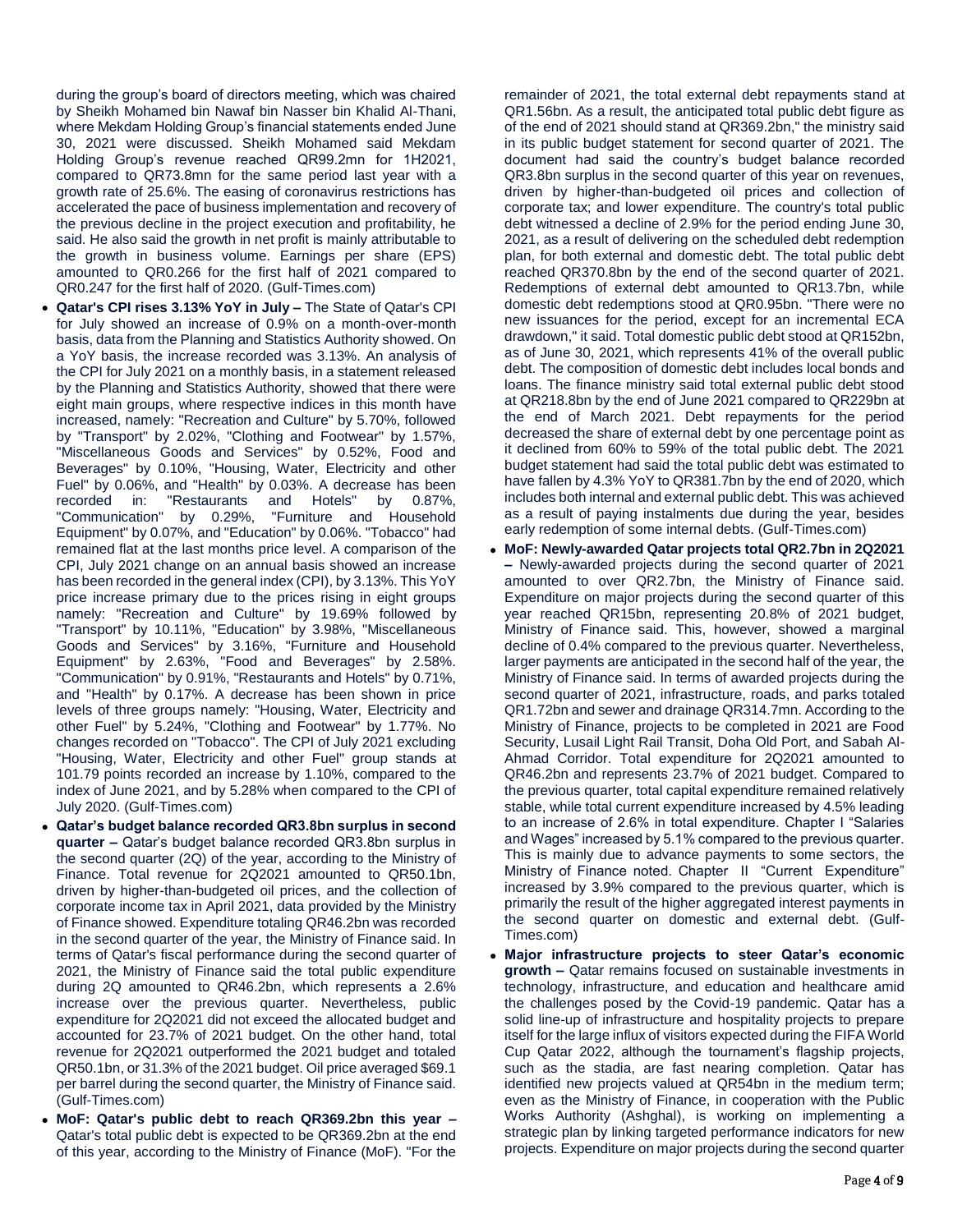during the group's board of directors meeting, which was chaired by Sheikh Mohamed bin Nawaf bin Nasser bin Khalid Al-Thani, where Mekdam Holding Group's financial statements ended June 30, 2021 were discussed. Sheikh Mohamed said Mekdam Holding Group's revenue reached QR99.2mn for 1H2021, compared to QR73.8mn for the same period last year with a growth rate of 25.6%. The easing of coronavirus restrictions has accelerated the pace of business implementation and recovery of the previous decline in the project execution and profitability, he said. He also said the growth in net profit is mainly attributable to the growth in business volume. Earnings per share (EPS) amounted to QR0.266 for the first half of 2021 compared to QR0.247 for the first half of 2020. (Gulf-Times.com)

- **Qatar's CPI rises 3.13% YoY in July –** The State of Qatar's CPI for July showed an increase of 0.9% on a month-over-month basis, data from the Planning and Statistics Authority showed. On a YoY basis, the increase recorded was 3.13%. An analysis of the CPI for July 2021 on a monthly basis, in a statement released by the Planning and Statistics Authority, showed that there were eight main groups, where respective indices in this month have increased, namely: "Recreation and Culture" by 5.70%, followed by "Transport" by 2.02%, "Clothing and Footwear" by 1.57%, "Miscellaneous Goods and Services" by 0.52%, Food and Beverages" by 0.10%, "Housing, Water, Electricity and other Fuel" by 0.06%, and "Health" by 0.03%. A decrease has been recorded in: "Restaurants and Hotels" by 0.87%, "Communication" by 0.29%, "Furniture and Household Equipment" by 0.07%, and "Education" by 0.06%. "Tobacco" had remained flat at the last months price level. A comparison of the CPI, July 2021 change on an annual basis showed an increase has been recorded in the general index (CPI), by 3.13%. This YoY price increase primary due to the prices rising in eight groups namely: "Recreation and Culture" by 19.69% followed by "Transport" by 10.11%, "Education" by 3.98%, "Miscellaneous Goods and Services" by 3.16%, "Furniture and Household Equipment" by 2.63%, "Food and Beverages" by 2.58%. "Communication" by 0.91%, "Restaurants and Hotels" by 0.71%, and "Health" by 0.17%. A decrease has been shown in price levels of three groups namely: "Housing, Water, Electricity and other Fuel" by 5.24%, "Clothing and Footwear" by 1.77%. No changes recorded on "Tobacco". The CPI of July 2021 excluding "Housing, Water, Electricity and other Fuel" group stands at 101.79 points recorded an increase by 1.10%, compared to the index of June 2021, and by 5.28% when compared to the CPI of July 2020. (Gulf-Times.com)
- **Qatar's budget balance recorded QR3.8bn surplus in second quarter –** Qatar's budget balance recorded QR3.8bn surplus in the second quarter (2Q) of the year, according to the Ministry of Finance. Total revenue for 2Q2021 amounted to QR50.1bn, driven by higher-than-budgeted oil prices, and the collection of corporate income tax in April 2021, data provided by the Ministry of Finance showed. Expenditure totaling QR46.2bn was recorded in the second quarter of the year, the Ministry of Finance said. In terms of Qatar's fiscal performance during the second quarter of 2021, the Ministry of Finance said the total public expenditure during 2Q amounted to QR46.2bn, which represents a 2.6% increase over the previous quarter. Nevertheless, public expenditure for 2Q2021 did not exceed the allocated budget and accounted for 23.7% of 2021 budget. On the other hand, total revenue for 2Q2021 outperformed the 2021 budget and totaled QR50.1bn, or 31.3% of the 2021 budget. Oil price averaged \$69.1 per barrel during the second quarter, the Ministry of Finance said. (Gulf-Times.com)
- **MoF: Qatar's public debt to reach QR369.2bn this year –** Qatar's total public debt is expected to be QR369.2bn at the end of this year, according to the Ministry of Finance (MoF). "For the

remainder of 2021, the total external debt repayments stand at QR1.56bn. As a result, the anticipated total public debt figure as of the end of 2021 should stand at QR369.2bn," the ministry said in its public budget statement for second quarter of 2021. The document had said the country's budget balance recorded QR3.8bn surplus in the second quarter of this year on revenues, driven by higher-than-budgeted oil prices and collection of corporate tax; and lower expenditure. The country's total public debt witnessed a decline of 2.9% for the period ending June 30, 2021, as a result of delivering on the scheduled debt redemption plan, for both external and domestic debt. The total public debt reached QR370.8bn by the end of the second quarter of 2021. Redemptions of external debt amounted to QR13.7bn, while domestic debt redemptions stood at QR0.95bn. "There were no new issuances for the period, except for an incremental ECA drawdown," it said. Total domestic public debt stood at QR152bn, as of June 30, 2021, which represents 41% of the overall public debt. The composition of domestic debt includes local bonds and loans. The finance ministry said total external public debt stood at QR218.8bn by the end of June 2021 compared to QR229bn at the end of March 2021. Debt repayments for the period decreased the share of external debt by one percentage point as it declined from 60% to 59% of the total public debt. The 2021 budget statement had said the total public debt was estimated to have fallen by 4.3% YoY to QR381.7bn by the end of 2020, which includes both internal and external public debt. This was achieved as a result of paying instalments due during the year, besides early redemption of some internal debts. (Gulf-Times.com)

- **MoF: Newly-awarded Qatar projects total QR2.7bn in 2Q2021 –** Newly-awarded projects during the second quarter of 2021 amounted to over QR2.7bn, the Ministry of Finance said. Expenditure on major projects during the second quarter of this year reached QR15bn, representing 20.8% of 2021 budget, Ministry of Finance said. This, however, showed a marginal decline of 0.4% compared to the previous quarter. Nevertheless, larger payments are anticipated in the second half of the year, the Ministry of Finance said. In terms of awarded projects during the second quarter of 2021, infrastructure, roads, and parks totaled QR1.72bn and sewer and drainage QR314.7mn. According to the Ministry of Finance, projects to be completed in 2021 are Food Security, Lusail Light Rail Transit, Doha Old Port, and Sabah Al-Ahmad Corridor. Total expenditure for 2Q2021 amounted to QR46.2bn and represents 23.7% of 2021 budget. Compared to the previous quarter, total capital expenditure remained relatively stable, while total current expenditure increased by 4.5% leading to an increase of 2.6% in total expenditure. Chapter I "Salaries and Wages" increased by 5.1% compared to the previous quarter. This is mainly due to advance payments to some sectors, the Ministry of Finance noted. Chapter II "Current Expenditure" increased by 3.9% compared to the previous quarter, which is primarily the result of the higher aggregated interest payments in the second quarter on domestic and external debt. (Gulf-Times.com)
- **Major infrastructure projects to steer Qatar's economic growth –** Qatar remains focused on sustainable investments in technology, infrastructure, and education and healthcare amid the challenges posed by the Covid-19 pandemic. Qatar has a solid line-up of infrastructure and hospitality projects to prepare itself for the large influx of visitors expected during the FIFA World Cup Qatar 2022, although the tournament's flagship projects, such as the stadia, are fast nearing completion. Qatar has identified new projects valued at QR54bn in the medium term; even as the Ministry of Finance, in cooperation with the Public Works Authority (Ashghal), is working on implementing a strategic plan by linking targeted performance indicators for new projects. Expenditure on major projects during the second quarter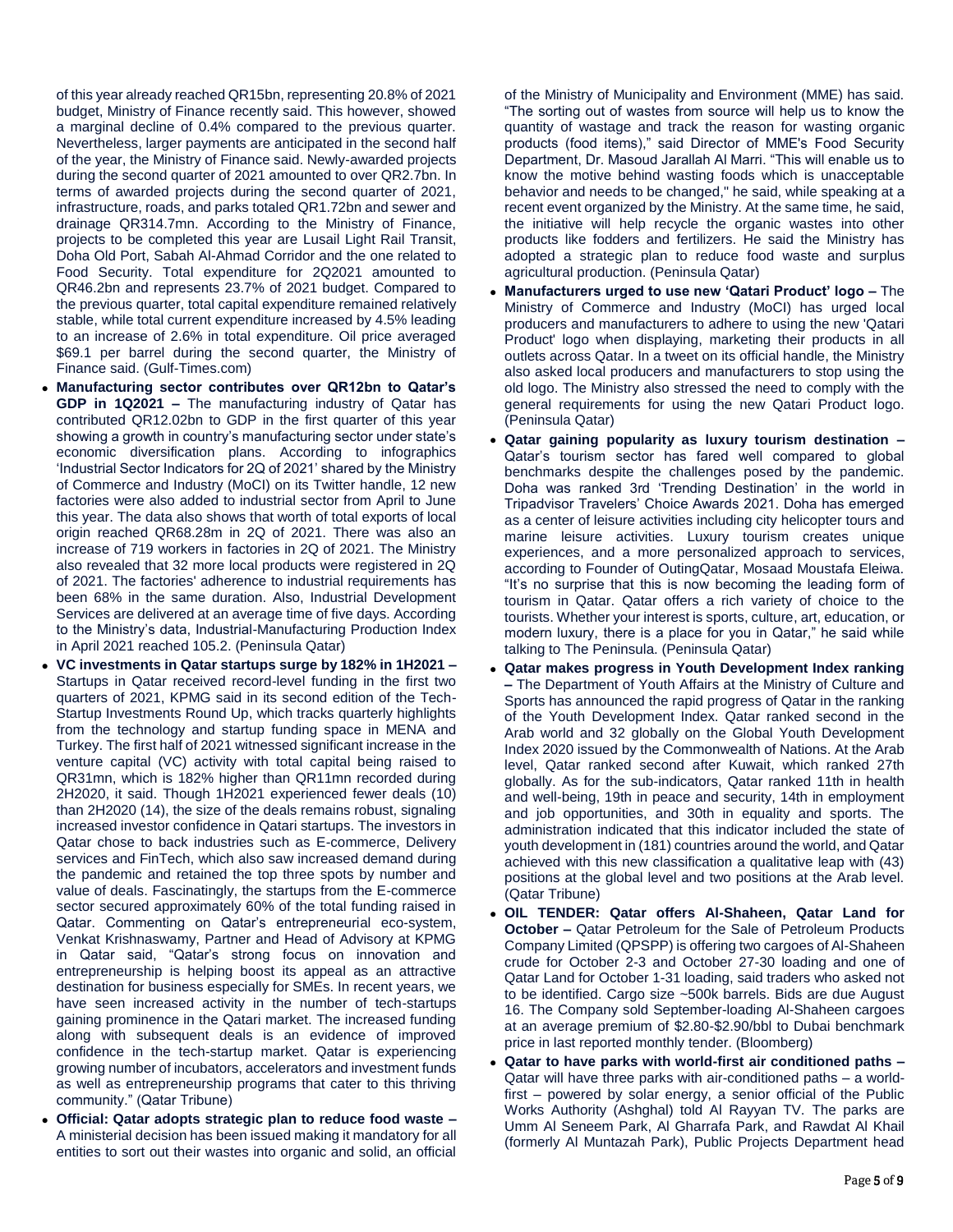of this year already reached QR15bn, representing 20.8% of 2021 budget, Ministry of Finance recently said. This however, showed a marginal decline of 0.4% compared to the previous quarter. Nevertheless, larger payments are anticipated in the second half of the year, the Ministry of Finance said. Newly-awarded projects during the second quarter of 2021 amounted to over QR2.7bn. In terms of awarded projects during the second quarter of 2021, infrastructure, roads, and parks totaled QR1.72bn and sewer and drainage QR314.7mn. According to the Ministry of Finance, projects to be completed this year are Lusail Light Rail Transit, Doha Old Port, Sabah Al-Ahmad Corridor and the one related to Food Security. Total expenditure for 2Q2021 amounted to QR46.2bn and represents 23.7% of 2021 budget. Compared to the previous quarter, total capital expenditure remained relatively stable, while total current expenditure increased by 4.5% leading to an increase of 2.6% in total expenditure. Oil price averaged \$69.1 per barrel during the second quarter, the Ministry of Finance said. (Gulf-Times.com)

- **Manufacturing sector contributes over QR12bn to Qatar's GDP in 1Q2021 –** The manufacturing industry of Qatar has contributed QR12.02bn to GDP in the first quarter of this year showing a growth in country's manufacturing sector under state's economic diversification plans. According to infographics 'Industrial Sector Indicators for 2Q of 2021' shared by the Ministry of Commerce and Industry (MoCI) on its Twitter handle, 12 new factories were also added to industrial sector from April to June this year. The data also shows that worth of total exports of local origin reached QR68.28m in 2Q of 2021. There was also an increase of 719 workers in factories in 2Q of 2021. The Ministry also revealed that 32 more local products were registered in 2Q of 2021. The factories' adherence to industrial requirements has been 68% in the same duration. Also, Industrial Development Services are delivered at an average time of five days. According to the Ministry's data, Industrial-Manufacturing Production Index in April 2021 reached 105.2. (Peninsula Qatar)
- **VC investments in Qatar startups surge by 182% in 1H2021 –** Startups in Qatar received record-level funding in the first two quarters of 2021, KPMG said in its second edition of the Tech-Startup Investments Round Up, which tracks quarterly highlights from the technology and startup funding space in MENA and Turkey. The first half of 2021 witnessed significant increase in the venture capital (VC) activity with total capital being raised to QR31mn, which is 182% higher than QR11mn recorded during 2H2020, it said. Though 1H2021 experienced fewer deals (10) than 2H2020 (14), the size of the deals remains robust, signaling increased investor confidence in Qatari startups. The investors in Qatar chose to back industries such as E-commerce, Delivery services and FinTech, which also saw increased demand during the pandemic and retained the top three spots by number and value of deals. Fascinatingly, the startups from the E-commerce sector secured approximately 60% of the total funding raised in Qatar. Commenting on Qatar's entrepreneurial eco-system, Venkat Krishnaswamy, Partner and Head of Advisory at KPMG in Qatar said, "Qatar's strong focus on innovation and entrepreneurship is helping boost its appeal as an attractive destination for business especially for SMEs. In recent years, we have seen increased activity in the number of tech-startups gaining prominence in the Qatari market. The increased funding along with subsequent deals is an evidence of improved confidence in the tech-startup market. Qatar is experiencing growing number of incubators, accelerators and investment funds as well as entrepreneurship programs that cater to this thriving community." (Qatar Tribune)
- **Official: Qatar adopts strategic plan to reduce food waste –** A ministerial decision has been issued making it mandatory for all entities to sort out their wastes into organic and solid, an official

of the Ministry of Municipality and Environment (MME) has said. "The sorting out of wastes from source will help us to know the quantity of wastage and track the reason for wasting organic products (food items)," said Director of MME's Food Security Department, Dr. Masoud Jarallah Al Marri. "This will enable us to know the motive behind wasting foods which is unacceptable behavior and needs to be changed," he said, while speaking at a recent event organized by the Ministry. At the same time, he said, the initiative will help recycle the organic wastes into other products like fodders and fertilizers. He said the Ministry has adopted a strategic plan to reduce food waste and surplus agricultural production. (Peninsula Qatar)

- **Manufacturers urged to use new 'Qatari Product' logo –** The Ministry of Commerce and Industry (MoCI) has urged local producers and manufacturers to adhere to using the new 'Qatari Product' logo when displaying, marketing their products in all outlets across Qatar. In a tweet on its official handle, the Ministry also asked local producers and manufacturers to stop using the old logo. The Ministry also stressed the need to comply with the general requirements for using the new Qatari Product logo. (Peninsula Qatar)
- **Qatar gaining popularity as luxury tourism destination –** Qatar's tourism sector has fared well compared to global benchmarks despite the challenges posed by the pandemic. Doha was ranked 3rd 'Trending Destination' in the world in Tripadvisor Travelers' Choice Awards 2021. Doha has emerged as a center of leisure activities including city helicopter tours and marine leisure activities. Luxury tourism creates unique experiences, and a more personalized approach to services, according to Founder of OutingQatar, Mosaad Moustafa Eleiwa. "It's no surprise that this is now becoming the leading form of tourism in Qatar. Qatar offers a rich variety of choice to the tourists. Whether your interest is sports, culture, art, education, or modern luxury, there is a place for you in Qatar," he said while talking to The Peninsula. (Peninsula Qatar)
- **Qatar makes progress in Youth Development Index ranking –** The Department of Youth Affairs at the Ministry of Culture and Sports has announced the rapid progress of Qatar in the ranking of the Youth Development Index. Qatar ranked second in the Arab world and 32 globally on the Global Youth Development Index 2020 issued by the Commonwealth of Nations. At the Arab level, Qatar ranked second after Kuwait, which ranked 27th globally. As for the sub-indicators, Qatar ranked 11th in health and well-being, 19th in peace and security, 14th in employment and job opportunities, and 30th in equality and sports. The administration indicated that this indicator included the state of youth development in (181) countries around the world, and Qatar achieved with this new classification a qualitative leap with (43) positions at the global level and two positions at the Arab level. (Qatar Tribune)
- **OIL TENDER: Qatar offers Al-Shaheen, Qatar Land for October –** Qatar Petroleum for the Sale of Petroleum Products Company Limited (QPSPP) is offering two cargoes of Al-Shaheen crude for October 2-3 and October 27-30 loading and one of Qatar Land for October 1-31 loading, said traders who asked not to be identified. Cargo size ~500k barrels. Bids are due August 16. The Company sold September-loading Al-Shaheen cargoes at an average premium of \$2.80-\$2.90/bbl to Dubai benchmark price in last reported monthly tender. (Bloomberg)
- **Qatar to have parks with world-first air conditioned paths –** Qatar will have three parks with air-conditioned paths – a worldfirst – powered by solar energy, a senior official of the Public Works Authority (Ashghal) told Al Rayyan TV. The parks are Umm Al Seneem Park, Al Gharrafa Park, and Rawdat Al Khail (formerly Al Muntazah Park), Public Projects Department head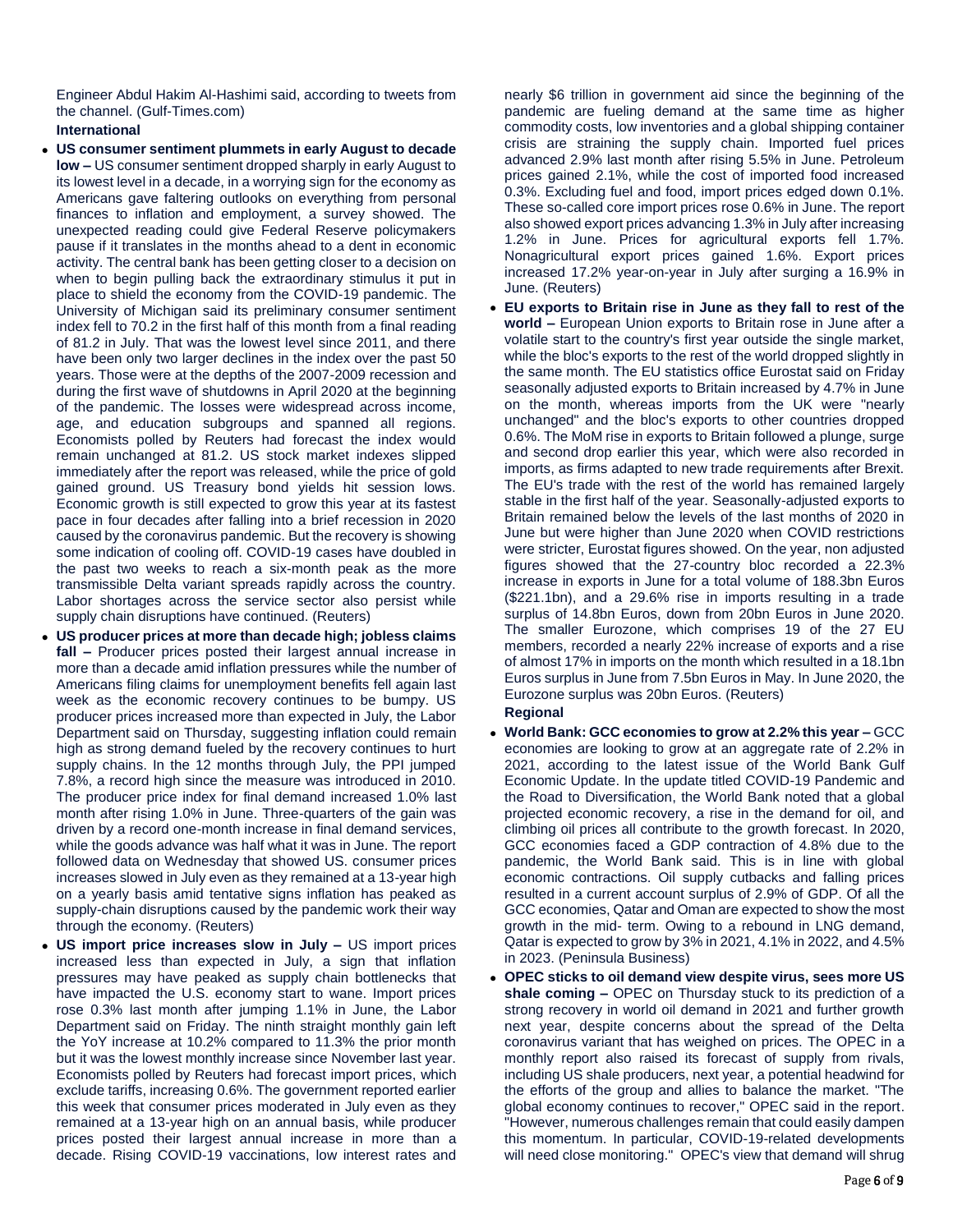Engineer Abdul Hakim Al-Hashimi said, according to tweets from the channel. (Gulf-Times.com)

# **International**

- **US consumer sentiment plummets in early August to decade low –** US consumer sentiment dropped sharply in early August to its lowest level in a decade, in a worrying sign for the economy as Americans gave faltering outlooks on everything from personal finances to inflation and employment, a survey showed. The unexpected reading could give Federal Reserve policymakers pause if it translates in the months ahead to a dent in economic activity. The central bank has been getting closer to a decision on when to begin pulling back the extraordinary stimulus it put in place to shield the economy from the COVID-19 pandemic. The University of Michigan said its preliminary consumer sentiment index fell to 70.2 in the first half of this month from a final reading of 81.2 in July. That was the lowest level since 2011, and there have been only two larger declines in the index over the past 50 years. Those were at the depths of the 2007-2009 recession and during the first wave of shutdowns in April 2020 at the beginning of the pandemic. The losses were widespread across income, age, and education subgroups and spanned all regions. Economists polled by Reuters had forecast the index would remain unchanged at 81.2. US stock market indexes slipped immediately after the report was released, while the price of gold gained ground. US Treasury bond yields hit session lows. Economic growth is still expected to grow this year at its fastest pace in four decades after falling into a brief recession in 2020 caused by the coronavirus pandemic. But the recovery is showing some indication of cooling off. COVID-19 cases have doubled in the past two weeks to reach a six-month peak as the more transmissible Delta variant spreads rapidly across the country. Labor shortages across the service sector also persist while supply chain disruptions have continued. (Reuters)
- **US producer prices at more than decade high; jobless claims fall –** Producer prices posted their largest annual increase in more than a decade amid inflation pressures while the number of Americans filing claims for unemployment benefits fell again last week as the economic recovery continues to be bumpy. US producer prices increased more than expected in July, the Labor Department said on Thursday, suggesting inflation could remain high as strong demand fueled by the recovery continues to hurt supply chains. In the 12 months through July, the PPI jumped 7.8%, a record high since the measure was introduced in 2010. The producer price index for final demand increased 1.0% last month after rising 1.0% in June. Three-quarters of the gain was driven by a record one-month increase in final demand services, while the goods advance was half what it was in June. The report followed data on Wednesday that showed US. consumer prices increases slowed in July even as they remained at a 13-year high on a yearly basis amid tentative signs inflation has peaked as supply-chain disruptions caused by the pandemic work their way through the economy. (Reuters)
- **US import price increases slow in July –** US import prices increased less than expected in July, a sign that inflation pressures may have peaked as supply chain bottlenecks that have impacted the U.S. economy start to wane. Import prices rose 0.3% last month after jumping 1.1% in June, the Labor Department said on Friday. The ninth straight monthly gain left the YoY increase at 10.2% compared to 11.3% the prior month but it was the lowest monthly increase since November last year. Economists polled by Reuters had forecast import prices, which exclude tariffs, increasing 0.6%. The government reported earlier this week that consumer prices moderated in July even as they remained at a 13-year high on an annual basis, while producer prices posted their largest annual increase in more than a decade. Rising COVID-19 vaccinations, low interest rates and

nearly \$6 trillion in government aid since the beginning of the pandemic are fueling demand at the same time as higher commodity costs, low inventories and a global shipping container crisis are straining the supply chain. Imported fuel prices advanced 2.9% last month after rising 5.5% in June. Petroleum prices gained 2.1%, while the cost of imported food increased 0.3%. Excluding fuel and food, import prices edged down 0.1%. These so-called core import prices rose 0.6% in June. The report also showed export prices advancing 1.3% in July after increasing 1.2% in June. Prices for agricultural exports fell 1.7%. Nonagricultural export prices gained 1.6%. Export prices increased 17.2% year-on-year in July after surging a 16.9% in June. (Reuters)

 **EU exports to Britain rise in June as they fall to rest of the world –** European Union exports to Britain rose in June after a volatile start to the country's first year outside the single market, while the bloc's exports to the rest of the world dropped slightly in the same month. The EU statistics office Eurostat said on Friday seasonally adjusted exports to Britain increased by 4.7% in June on the month, whereas imports from the UK were "nearly unchanged" and the bloc's exports to other countries dropped 0.6%. The MoM rise in exports to Britain followed a plunge, surge and second drop earlier this year, which were also recorded in imports, as firms adapted to new trade requirements after Brexit. The EU's trade with the rest of the world has remained largely stable in the first half of the year. Seasonally-adjusted exports to Britain remained below the levels of the last months of 2020 in June but were higher than June 2020 when COVID restrictions were stricter, Eurostat figures showed. On the year, non adjusted figures showed that the 27-country bloc recorded a 22.3% increase in exports in June for a total volume of 188.3bn Euros (\$221.1bn), and a 29.6% rise in imports resulting in a trade surplus of 14.8bn Euros, down from 20bn Euros in June 2020. The smaller Eurozone, which comprises 19 of the 27 EU members, recorded a nearly 22% increase of exports and a rise of almost 17% in imports on the month which resulted in a 18.1bn Euros surplus in June from 7.5bn Euros in May. In June 2020, the Eurozone surplus was 20bn Euros. (Reuters)

# **Regional**

- **World Bank: GCC economies to grow at 2.2% this year –** GCC economies are looking to grow at an aggregate rate of 2.2% in 2021, according to the latest issue of the World Bank Gulf Economic Update. In the update titled COVID-19 Pandemic and the Road to Diversification, the World Bank noted that a global projected economic recovery, a rise in the demand for oil, and climbing oil prices all contribute to the growth forecast. In 2020, GCC economies faced a GDP contraction of 4.8% due to the pandemic, the World Bank said. This is in line with global economic contractions. Oil supply cutbacks and falling prices resulted in a current account surplus of 2.9% of GDP. Of all the GCC economies, Qatar and Oman are expected to show the most growth in the mid- term. Owing to a rebound in LNG demand, Qatar is expected to grow by 3% in 2021, 4.1% in 2022, and 4.5% in 2023. (Peninsula Business)
- **OPEC sticks to oil demand view despite virus, sees more US shale coming –** OPEC on Thursday stuck to its prediction of a strong recovery in world oil demand in 2021 and further growth next year, despite concerns about the spread of the Delta coronavirus variant that has weighed on prices. The OPEC in a monthly report also raised its forecast of supply from rivals, including US shale producers, next year, a potential headwind for the efforts of the group and allies to balance the market. "The global economy continues to recover," OPEC said in the report. "However, numerous challenges remain that could easily dampen this momentum. In particular, COVID-19-related developments will need close monitoring." OPEC's view that demand will shrug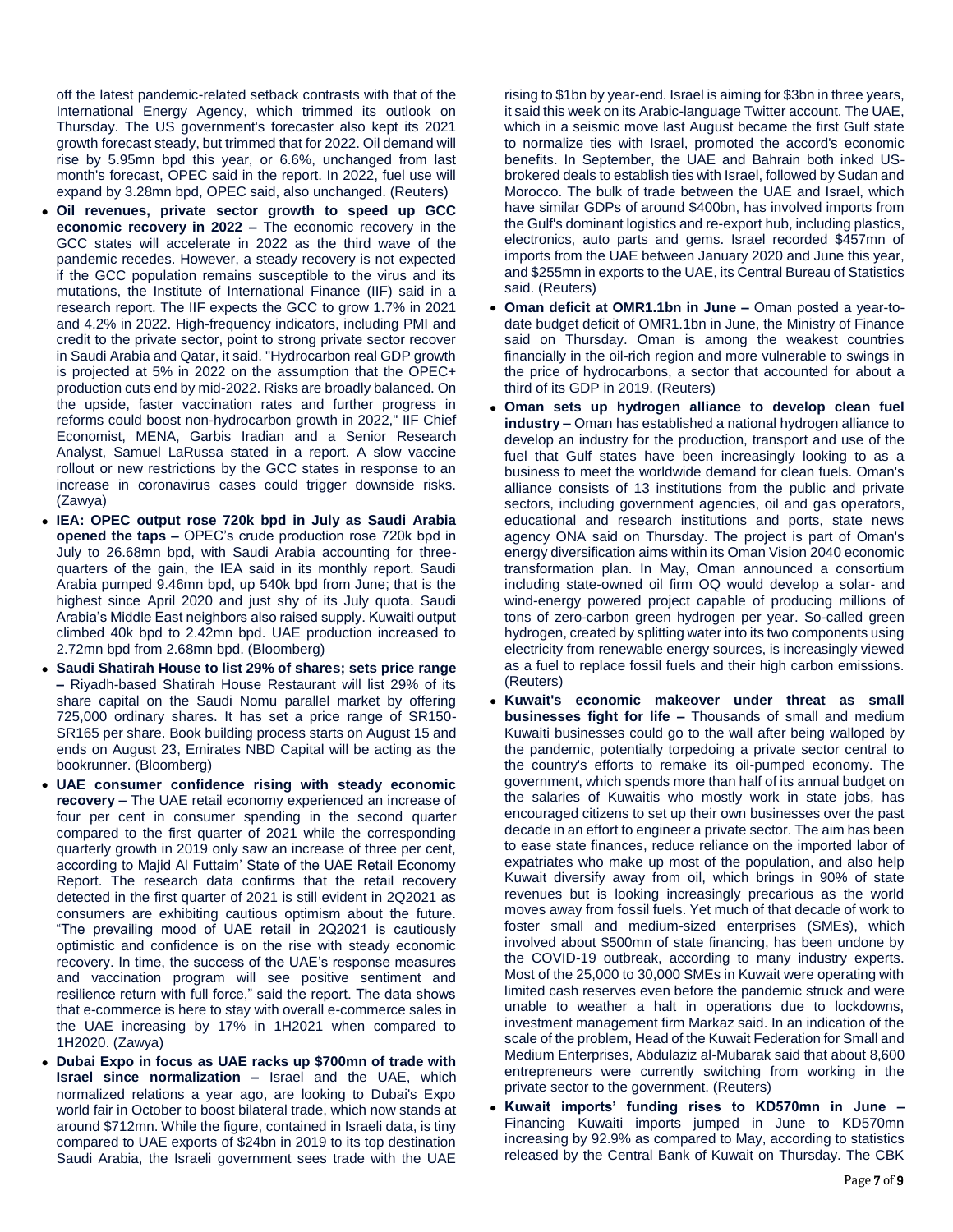off the latest pandemic-related setback contrasts with that of the International Energy Agency, which trimmed its outlook on Thursday. The US government's forecaster also kept its 2021 growth forecast steady, but trimmed that for 2022. Oil demand will rise by 5.95mn bpd this year, or 6.6%, unchanged from last month's forecast, OPEC said in the report. In 2022, fuel use will expand by 3.28mn bpd, OPEC said, also unchanged. (Reuters)

- **Oil revenues, private sector growth to speed up GCC economic recovery in 2022 –** The economic recovery in the GCC states will accelerate in 2022 as the third wave of the pandemic recedes. However, a steady recovery is not expected if the GCC population remains susceptible to the virus and its mutations, the Institute of International Finance (IIF) said in a research report. The IIF expects the GCC to grow 1.7% in 2021 and 4.2% in 2022. High-frequency indicators, including PMI and credit to the private sector, point to strong private sector recover in Saudi Arabia and Qatar, it said. "Hydrocarbon real GDP growth is projected at 5% in 2022 on the assumption that the OPEC+ production cuts end by mid-2022. Risks are broadly balanced. On the upside, faster vaccination rates and further progress in reforms could boost non-hydrocarbon growth in 2022," IIF Chief Economist, MENA, Garbis Iradian and a Senior Research Analyst, Samuel LaRussa stated in a report. A slow vaccine rollout or new restrictions by the GCC states in response to an increase in coronavirus cases could trigger downside risks. (Zawya)
- **IEA: OPEC output rose 720k bpd in July as Saudi Arabia opened the taps –** OPEC's crude production rose 720k bpd in July to 26.68mn bpd, with Saudi Arabia accounting for threequarters of the gain, the IEA said in its monthly report. Saudi Arabia pumped 9.46mn bpd, up 540k bpd from June; that is the highest since April 2020 and just shy of its July quota. Saudi Arabia's Middle East neighbors also raised supply. Kuwaiti output climbed 40k bpd to 2.42mn bpd. UAE production increased to 2.72mn bpd from 2.68mn bpd. (Bloomberg)
- **Saudi Shatirah House to list 29% of shares; sets price range –** Riyadh-based Shatirah House Restaurant will list 29% of its share capital on the Saudi Nomu parallel market by offering 725,000 ordinary shares. It has set a price range of SR150- SR165 per share. Book building process starts on August 15 and ends on August 23, Emirates NBD Capital will be acting as the bookrunner. (Bloomberg)
- **UAE consumer confidence rising with steady economic recovery –** The UAE retail economy experienced an increase of four per cent in consumer spending in the second quarter compared to the first quarter of 2021 while the corresponding quarterly growth in 2019 only saw an increase of three per cent, according to Majid Al Futtaim' State of the UAE Retail Economy Report. The research data confirms that the retail recovery detected in the first quarter of 2021 is still evident in 2Q2021 as consumers are exhibiting cautious optimism about the future. "The prevailing mood of UAE retail in 2Q2021 is cautiously optimistic and confidence is on the rise with steady economic recovery. In time, the success of the UAE's response measures and vaccination program will see positive sentiment and resilience return with full force," said the report. The data shows that e-commerce is here to stay with overall e-commerce sales in the UAE increasing by 17% in 1H2021 when compared to 1H2020. (Zawya)
- **Dubai Expo in focus as UAE racks up \$700mn of trade with Israel since normalization –** Israel and the UAE, which normalized relations a year ago, are looking to Dubai's Expo world fair in October to boost bilateral trade, which now stands at around \$712mn. While the figure, contained in Israeli data, is tiny compared to UAE exports of \$24bn in 2019 to its top destination Saudi Arabia, the Israeli government sees trade with the UAE

rising to \$1bn by year-end. Israel is aiming for \$3bn in three years, it said this week on its Arabic-language Twitter account. The UAE, which in a seismic move last August became the first Gulf state to normalize ties with Israel, promoted the accord's economic benefits. In September, the UAE and Bahrain both inked USbrokered deals to establish ties with Israel, followed by Sudan and Morocco. The bulk of trade between the UAE and Israel, which have similar GDPs of around \$400bn, has involved imports from the Gulf's dominant logistics and re-export hub, including plastics, electronics, auto parts and gems. Israel recorded \$457mn of imports from the UAE between January 2020 and June this year, and \$255mn in exports to the UAE, its Central Bureau of Statistics said. (Reuters)

- **Oman deficit at OMR1.1bn in June –** Oman posted a year-todate budget deficit of OMR1.1bn in June, the Ministry of Finance said on Thursday. Oman is among the weakest countries financially in the oil-rich region and more vulnerable to swings in the price of hydrocarbons, a sector that accounted for about a third of its GDP in 2019. (Reuters)
- **Oman sets up hydrogen alliance to develop clean fuel industry –** Oman has established a national hydrogen alliance to develop an industry for the production, transport and use of the fuel that Gulf states have been increasingly looking to as a business to meet the worldwide demand for clean fuels. Oman's alliance consists of 13 institutions from the public and private sectors, including government agencies, oil and gas operators, educational and research institutions and ports, state news agency ONA said on Thursday. The project is part of Oman's energy diversification aims within its Oman Vision 2040 economic transformation plan. In May, Oman announced a consortium including state-owned oil firm OQ would develop a solar- and wind-energy powered project capable of producing millions of tons of zero-carbon green hydrogen per year. So-called green hydrogen, created by splitting water into its two components using electricity from renewable energy sources, is increasingly viewed as a fuel to replace fossil fuels and their high carbon emissions. (Reuters)
- **Kuwait's economic makeover under threat as small businesses fight for life –** Thousands of small and medium Kuwaiti businesses could go to the wall after being walloped by the pandemic, potentially torpedoing a private sector central to the country's efforts to remake its oil-pumped economy. The government, which spends more than half of its annual budget on the salaries of Kuwaitis who mostly work in state jobs, has encouraged citizens to set up their own businesses over the past decade in an effort to engineer a private sector. The aim has been to ease state finances, reduce reliance on the imported labor of expatriates who make up most of the population, and also help Kuwait diversify away from oil, which brings in 90% of state revenues but is looking increasingly precarious as the world moves away from fossil fuels. Yet much of that decade of work to foster small and medium-sized enterprises (SMEs), which involved about \$500mn of state financing, has been undone by the COVID-19 outbreak, according to many industry experts. Most of the 25,000 to 30,000 SMEs in Kuwait were operating with limited cash reserves even before the pandemic struck and were unable to weather a halt in operations due to lockdowns, investment management firm Markaz said. In an indication of the scale of the problem, Head of the Kuwait Federation for Small and Medium Enterprises, Abdulaziz al-Mubarak said that about 8,600 entrepreneurs were currently switching from working in the private sector to the government. (Reuters)
- **Kuwait imports' funding rises to KD570mn in June –** Financing Kuwaiti imports jumped in June to KD570mn increasing by 92.9% as compared to May, according to statistics released by the Central Bank of Kuwait on Thursday. The CBK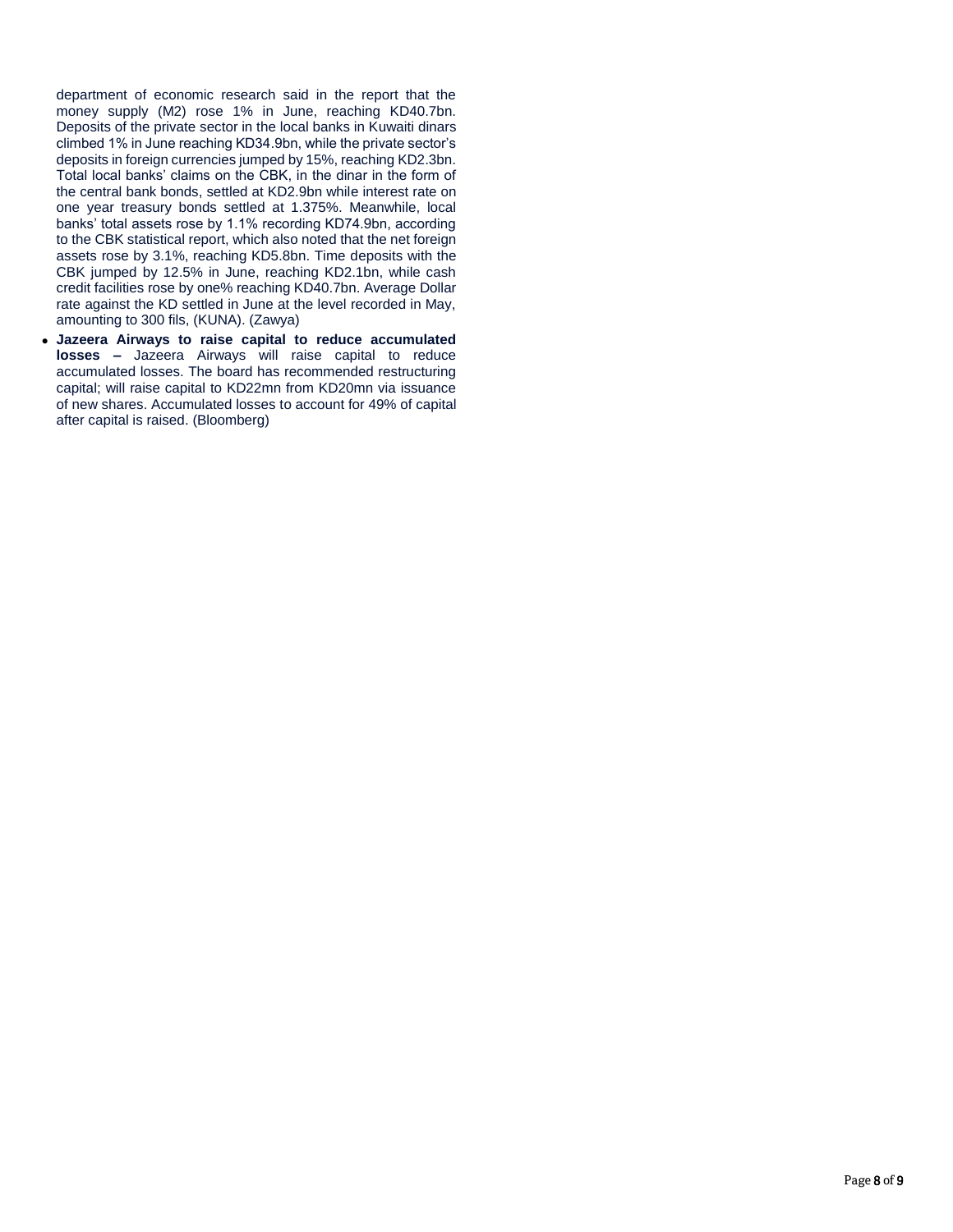department of economic research said in the report that the money supply (M2) rose 1% in June, reaching KD40.7bn. Deposits of the private sector in the local banks in Kuwaiti dinars climbed 1% in June reaching KD34.9bn, while the private sector's deposits in foreign currencies jumped by 15%, reaching KD2.3bn. Total local banks' claims on the CBK, in the dinar in the form of the central bank bonds, settled at KD2.9bn while interest rate on one year treasury bonds settled at 1.375%. Meanwhile, local banks' total assets rose by 1.1% recording KD74.9bn, according to the CBK statistical report, which also noted that the net foreign assets rose by 3.1%, reaching KD5.8bn. Time deposits with the CBK jumped by 12.5% in June, reaching KD2.1bn, while cash credit facilities rose by one% reaching KD40.7bn. Average Dollar rate against the KD settled in June at the level recorded in May, amounting to 300 fils, (KUNA). (Zawya)

 **Jazeera Airways to raise capital to reduce accumulated losses –** Jazeera Airways will raise capital to reduce accumulated losses. The board has recommended restructuring capital; will raise capital to KD22mn from KD20mn via issuance of new shares. Accumulated losses to account for 49% of capital after capital is raised. (Bloomberg)